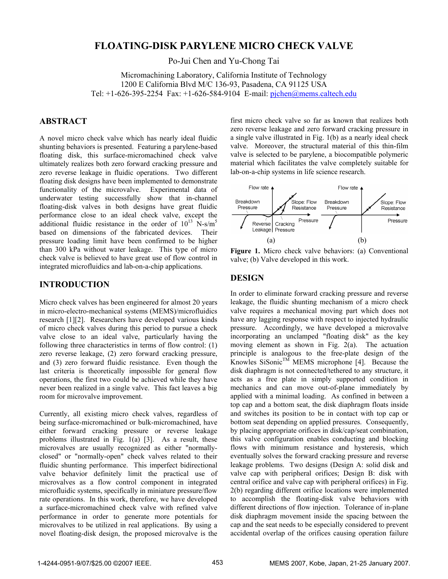# **FLOATING-DISK PARYLENE MICRO CHECK VALVE**

Po-Jui Chen and Yu-Chong Tai

Micromachining Laboratory, California Institute of Technology 1200 E California Blvd M/C 136-93, Pasadena, CA 91125 USA Tel: +1-626-395-2254 Fax: +1-626-584-9104 E-mail: pjchen@mems.caltech.edu

# **ABSTRACT**

A novel micro check valve which has nearly ideal fluidic shunting behaviors is presented. Featuring a parylene-based floating disk, this surface-micromachined check valve ultimately realizes both zero forward cracking pressure and zero reverse leakage in fluidic operations. Two different floating disk designs have been implemented to demonstrate functionality of the microvalve. Experimental data of underwater testing successfully show that in-channel floating-disk valves in both designs have great fluidic performance close to an ideal check valve, except the additional fluidic resistance in the order of  $10^{13}$  N-s/m<sup>5</sup> based on dimensions of the fabricated devices. Their pressure loading limit have been confirmed to be higher than 300 kPa without water leakage. This type of micro check valve is believed to have great use of flow control in integrated microfluidics and lab-on-a-chip applications.

## **INTRODUCTION**

Micro check valves has been engineered for almost 20 years in micro-electro-mechanical systems (MEMS)/microfluidics research [1][2]. Researchers have developed various kinds of micro check valves during this period to pursue a check valve close to an ideal valve, particularly having the following three characteristics in terms of flow control: (1) zero reverse leakage, (2) zero forward cracking pressure, and (3) zero forward fluidic resistance. Even though the last criteria is theoretically impossible for general flow operations, the first two could be achieved while they have never been realized in a single valve. This fact leaves a big room for microvalve improvement.

Currently, all existing micro check valves, regardless of being surface-micromachined or bulk-micromachined, have either forward cracking pressure or reverse leakage problems illustrated in Fig. 1(a) [3]. As a result, these microvalves are usually recognized as either "normallyclosed" or "normally-open" check valves related to their fluidic shunting performance. This imperfect bidirectional valve behavior definitely limit the practical use of microvalves as a flow control component in integrated microfluidic systems, specifically in miniature pressure/flow rate operations. In this work, therefore, we have developed a surface-micromachined check valve with refined valve performance in order to generate more potentials for microvalves to be utilized in real applications. By using a novel floating-disk design, the proposed microvalve is the

first micro check valve so far as known that realizes both zero reverse leakage and zero forward cracking pressure in a single valve illustrated in Fig. 1(b) as a nearly ideal check valve. Moreover, the structural material of this thin-film valve is selected to be parylene, a biocompatible polymeric material which facilitates the valve completely suitable for lab-on-a-chip systems in life science research.



**Figure 1.** Micro check valve behaviors: (a) Conventional valve; (b) Valve developed in this work.

#### **DESIGN**

In order to eliminate forward cracking pressure and reverse leakage, the fluidic shunting mechanism of a micro check valve requires a mechanical moving part which does not have any lagging response with respect to injected hydraulic pressure. Accordingly, we have developed a microvalve incorporating an unclamped "floating disk" as the key moving element as shown in Fig. 2(a). The actuation principle is analogous to the free-plate design of the Knowles SiSonic<sup>TM</sup> MEMS microphone [4]. Because the disk diaphragm is not connected/tethered to any structure, it acts as a free plate in simply supported condition in mechanics and can move out-of-plane immediately by applied with a minimal loading. As confined in between a top cap and a bottom seat, the disk diaphragm floats inside and switches its position to be in contact with top cap or bottom seat depending on applied pressures. Consequently, by placing appropriate orifices in disk/cap/seat combination, this valve configuration enables conducting and blocking flows with minimum resistance and hysteresis, which eventually solves the forward cracking pressure and reverse leakage problems. Two designs (Design A: solid disk and valve cap with peripheral orifices; Design B: disk with central orifice and valve cap with peripheral orifices) in Fig. 2(b) regarding different orifice locations were implemented to accomplish the floating-disk valve behaviors with different directions of flow injection. Tolerance of in-plane disk diaphragm movement inside the spacing between the cap and the seat needs to be especially considered to prevent accidental overlap of the orifices causing operation failure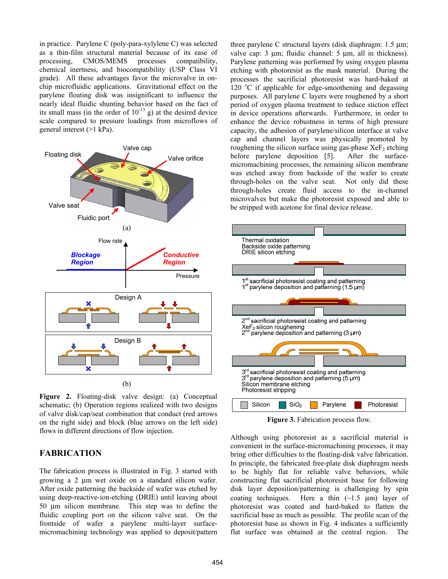in practice. Parylene C (poly-para-xylylene C) was selected as a thin-film structural material because of its ease of processing, CMOS/MEMS processes compatibility, chemical inertness, and biocompatibility (USP Class VI grade). All these advantages favor the microvalve in onchip microfluidic applications. Gravitational effect on the parylene floating disk was insignificant to influence the nearly ideal fluidic shunting behavior based on the fact of its small mass (in the order of  $10^{-13}$  g) at the desired device scale compared to pressure loadings from microflows of general interest (>1 kPa).



Figure 2. Floating-disk valve design: (a) Conceptual schematic; (b) Operation regions realized with two designs of valve disk/cap/seat combination that conduct (red arrows on the right side) and block (blue arrows on the left side) flows in different directions of flow injection.

## **FABRICATION**

The fabrication process is illustrated in Fig. 3 started with growing a 2 μm wet oxide on a standard silicon wafer. After oxide patterning the backside of wafer was etched by using deep-reactive-ion-etching (DRIE) until leaving about 50 μm silicon membrane. This step was to define the fluidic coupling port on the silicon valve seat. On the frontside of wafer a parylene multi-layer surfacemicromachining technology was applied to deposit/pattern

three parylene C structural layers (disk diaphragm: 1.5 μm; valve cap: 3 μm; fluidic channel: 5 μm, all in thickness). Parylene patterning was performed by using oxygen plasma etching with photoresist as the mask material. During the processes the sacrificial photoresist was hard-baked at 120 °C if applicable for edge-smoothening and degassing purposes. All parylene C layers were roughened by a short period of oxygen plasma treatment to reduce stiction effect in device operations afterwards. Furthermore, in order to enhance the device robustness in terms of high pressure capacity, the adhesion of parylene/silicon interface at valve cap and channel layers was physically promoted by roughening the silicon surface using gas-phase  $XeF_2$  etching before parylene deposition [5]. After the surfacemicromachining processes, the remaining silicon membrane was etched away from backside of the wafer to create through-holes on the valve seat. Not only did these through-holes create fluid access to the in-channel microvalves but make the photoresist exposed and able to be stripped with acetone for final device release.



**Figure 3.** Fabrication process flow.

Although using photoresist as a sacrificial material is convenient in the surface-micromachining processes, it may bring other difficulties to the floating-disk valve fabrication. In principle, the fabricated free-plate disk diaphragm needs to be highly flat for reliable valve behaviors, while constructing flat sacrificial photoresist base for following disk layer deposition/patterning is challenging by spin coating techniques. Here a thin  $(\sim 1.5 \text{ }\mu\text{m})$  layer of photoresist was coated and hard-baked to flatten the sacrificial base as much as possible. The profile scan of the photoresist base as shown in Fig. 4 indicates a sufficiently flat surface was obtained at the central region. The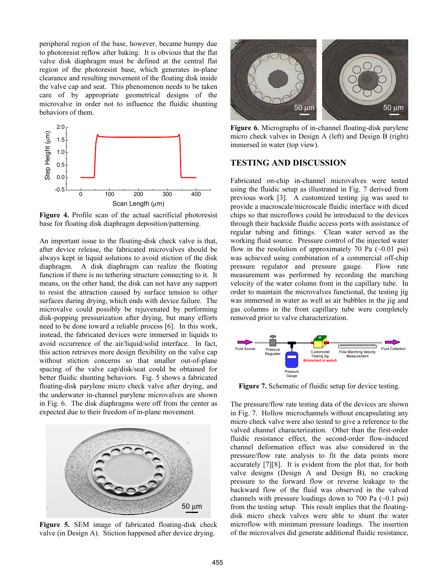peripheral region of the base, however, became bumpy due to photoresist reflow after baking. It is obvious that the flat valve disk diaphragm must be defined at the central flat region of the photoresist base, which generates in-plane clearance and resulting movement of the floating disk inside the valve cap and seat. This phenomenon needs to be taken care of by appropriate geometrical designs of the microvalve in order not to influence the fluidic shunting behaviors of them.



**Figure 4.** Profile scan of the actual sacrificial photoresist base for floating disk diaphragm deposition/patterning.

An important issue to the floating-disk check valve is that, after device release, the fabricated microvalves should be always kept in liquid solutions to avoid stiction of the disk diaphragm. A disk diaphragm can realize the floating function if there is no tethering structure connecting to it. It means, on the other hand, the disk can not have any support to resist the attraction caused by surface tension to other surfaces during drying, which ends with device failure. The microvalve could possibly be rejuvenated by performing disk-popping pressurization after drying, but many efforts need to be done toward a reliable process [6]. In this work, instead, the fabricated devices were immersed in liquids to avoid occurrence of the air/liquid/solid interface. In fact, this action retrieves more design flexibility on the valve cap without stiction concerns so that smaller out-of-plane spacing of the valve cap/disk/seat could be obtained for better fluidic shunting behaviors. Fig. 5 shows a fabricated floating-disk parylene micro check valve after drying, and the underwater in-channel parylene microvalves are shown in Fig. 6. The disk diaphragms were off from the center as expected due to their freedom of in-plane movement.



**Figure 5.** SEM image of fabricated floating-disk check valve (in Design A). Stiction happened after device drying.



**Figure 6.** Micrographs of in-channel floating-disk parylene micro check valves in Design A (left) and Design B (right) immersed in water (top view).

# **TESTING AND DISCUSSION**

Fabricated on-chip in-channel microvalves were tested using the fluidic setup as illustrated in Fig. 7 derived from previous work [3]. A customized testing jig was used to provide a macroscale/microscale fluidic interface with diced chips so that microflows could be introduced to the devices through their backside fluidic access ports with assistance of regular tubing and fittings. Clean water served as the working fluid source. Pressure control of the injected water flow in the resolution of approximately 70 Pa  $(\sim 0.01 \text{ psi})$ was achieved using combination of a commercial off-chip pressure regulator and pressure gauge. Flow rate measurement was performed by recording the marching velocity of the water column front in the capillary tube. In order to maintain the microvalves functional, the testing jig was immersed in water as well as air bubbles in the jig and gas columns in the front capillary tube were completely removed prior to valve characterization.



**Figure 7.** Schematic of fluidic setup for device testing.

The pressure/flow rate testing data of the devices are shown in Fig. 7. Hollow microchannels without encapsulating any micro check valve were also tested to give a reference to the valved channel characterization. Other than the first-order fluidic resistance effect, the second-order flow-induced channel deformation effect was also considered in the pressure/flow rate analysis to fit the data points more accurately [7][8]. It is evident from the plot that, for both valve designs (Design A and Design B), no cracking pressure to the forward flow or reverse leakage to the backward flow of the fluid was observed in the valved channels with pressure loadings down to 700 Pa  $(\sim 0.1 \text{ psi})$ from the testing setup. This result implies that the floatingdisk micro check valves were able to shunt the water microflow with minimum pressure loadings. The insertion of the microvalves did generate additional fluidic resistance,